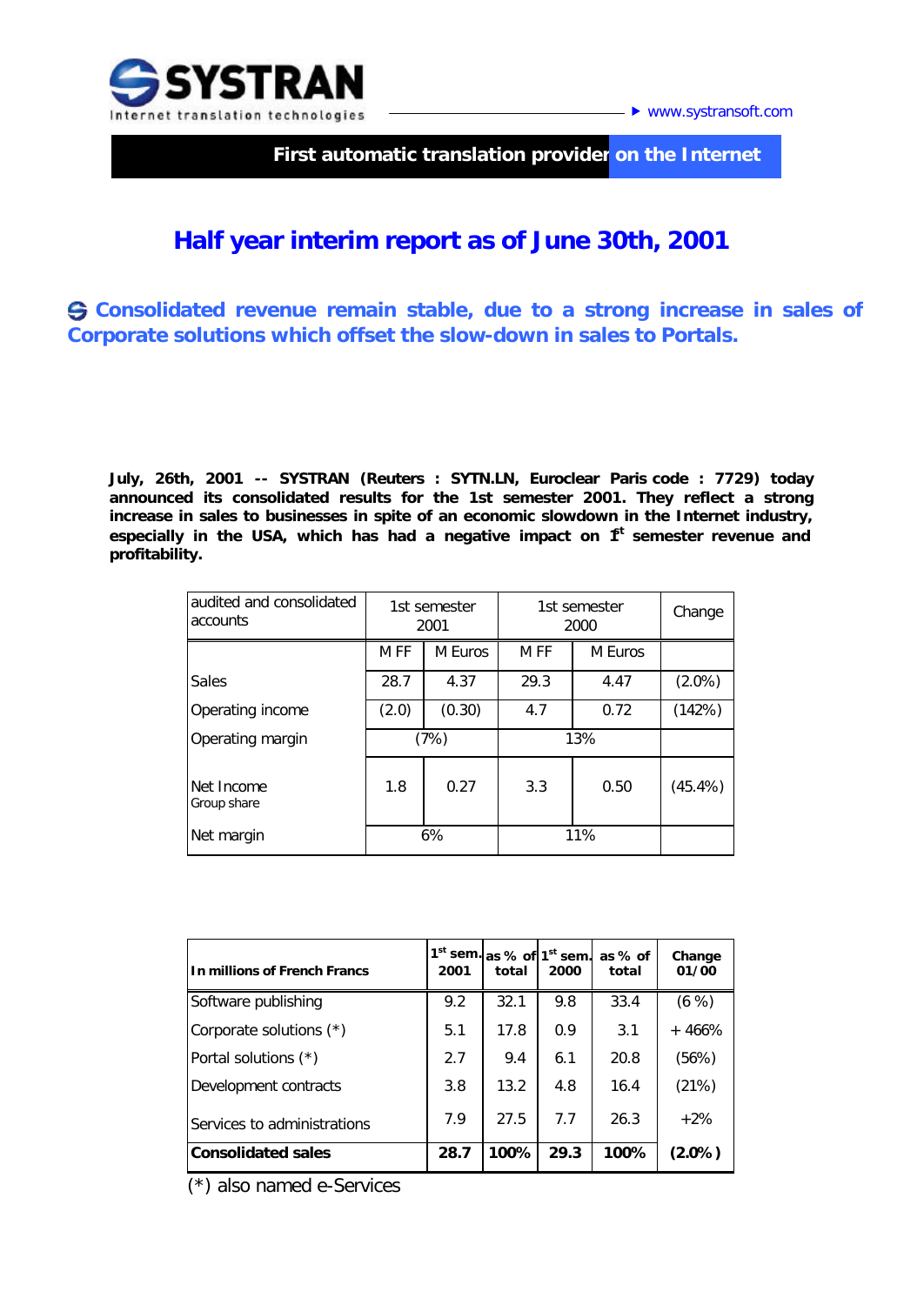

▶ www.systransoft.com

 **First automatic translation provider on the Internet**

## **Half year interim report as of June 30th, 2001**

**Consolidated revenue remain stable, due to a strong increase in sales of Corporate solutions which offset the slow-down in sales to Portals.**

**July, 26th, 2001 -- SYSTRAN (Reuters : SYTN.LN, Euroclear Paris code : 7729) today announced its consolidated results for the 1st semester 2001. They reflect a strong increase in sales to businesses in spite of an economic slowdown in the Internet industry,**  especially in the USA, which has had a negative impact on  $f<sup>t</sup>$  semester revenue and **profitability.**

| audited and consolidated<br>accounts | 1st semester<br>2001 |         | 1st semester<br>2000 |         | Change     |
|--------------------------------------|----------------------|---------|----------------------|---------|------------|
|                                      | M <sub>FF</sub>      | M Euros | M FF                 | M Euros |            |
| Sales                                | 28.7                 | 4.37    | 29.3                 | 4.47    | $(2.0\%)$  |
| Operating income                     | (2.0)                | (0.30)  | 4.7                  | 0.72    | (142%)     |
| Operating margin                     | (7%)                 |         | 13%                  |         |            |
| Net Income<br>Group share            | 1.8                  | 0.27    | 3.3                  | 0.50    | $(45.4\%)$ |
| Net margin                           | 6%                   |         | 11%                  |         |            |

| In millions of French Francs | $1st$ sem.<br>2001 | total | as % of 1 <sup>st</sup> sem.<br>2000 | as % of<br>total | Change<br>01/00 |
|------------------------------|--------------------|-------|--------------------------------------|------------------|-----------------|
| Software publishing          | 9.2                | 32.1  | 9.8                                  | 33.4             | (6, % )         |
| Corporate solutions (*)      | 5.1                | 17.8  | 0.9                                  | 3.1              | $+466%$         |
| Portal solutions (*)         | 2.7                | 9.4   | 6.1                                  | 20.8             | (56%)           |
| Development contracts        | 3.8                | 13.2  | 4.8                                  | 16.4             | (21%)           |
| Services to administrations  | 7.9                | 27.5  | 77                                   | 26.3             | $+2%$           |
| <b>Consolidated sales</b>    | 28.7               | 100%  | 29.3                                 | 100%             | $(2.0\%)$       |

 *(\*) also named e-Services*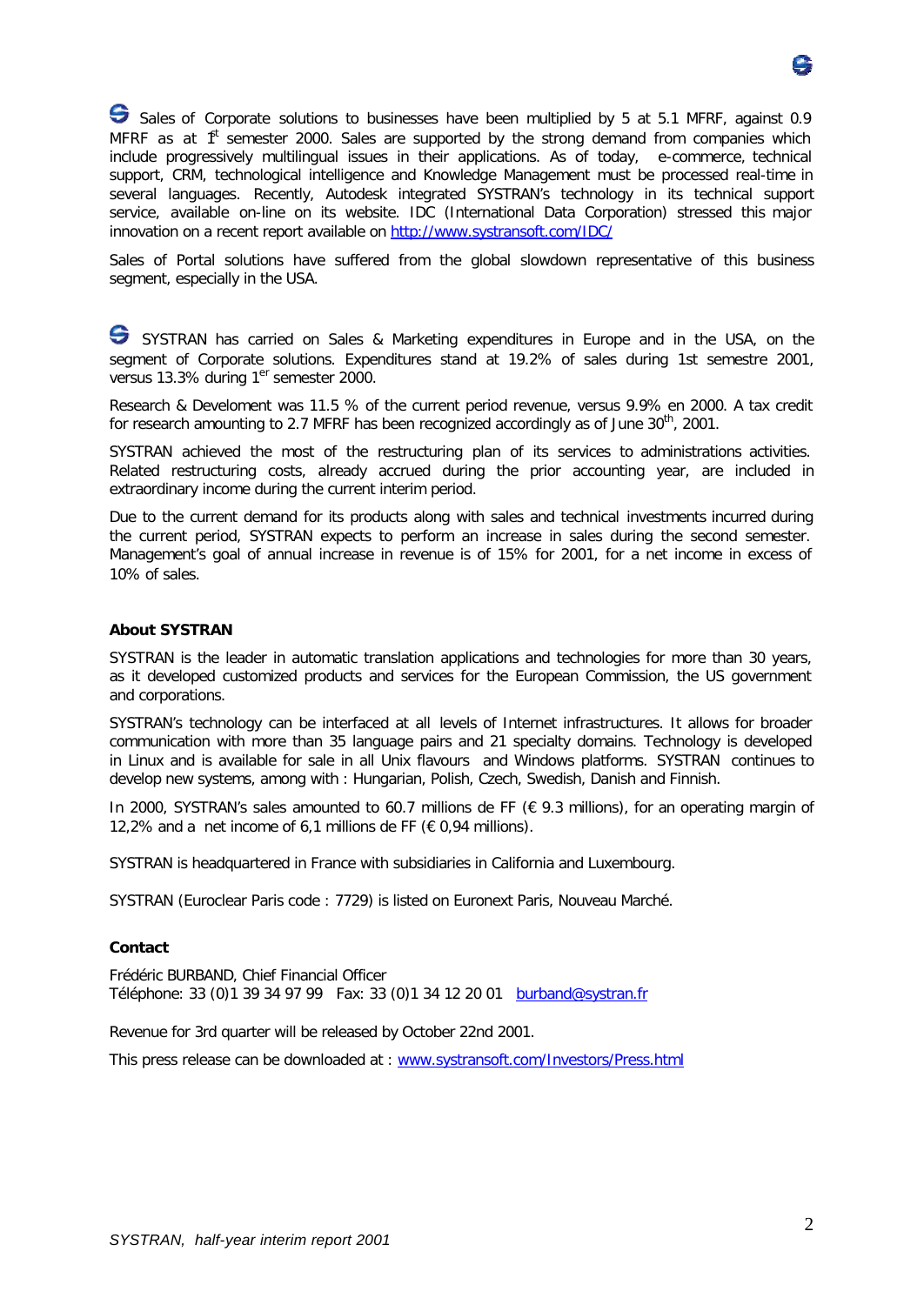

Sales of *Corporate* solutions to businesses have been multiplied by 5 at 5.1 MFRF, against 0.9 MFRF as at  $f<sup>t</sup>$  semester 2000. Sales are supported by the strong demand from companies which include progressively multilingual issues in their applications. As of today, e-commerce, technical support, CRM, technological intelligence and Knowledge Management must be processed real-time in several languages. Recently, Autodesk integrated SYSTRAN's technology in its technical support service, available on-line on its website. IDC (International Data Corporation) stressed this major innovation on a recent report available on http://www.systransoft.com/IDC/

Sales of Portal solutions have suffered from the global slowdown representative of this business segment, especially in the USA.

SYSTRAN has carried on Sales & Marketing expenditures in Europe and in the USA, on the segment of Corporate solutions. Expenditures stand at 19.2% of sales during 1st semestre 2001, versus 13.3% during 1<sup>er</sup> semester 2000.

Research & Develoment was 11.5 % of the current period revenue, versus 9.9% en 2000. A tax credit for research amounting to 2.7 MFRF has been recognized accordingly as of June 30<sup>th</sup>, 2001.

SYSTRAN achieved the most of the restructuring plan of its services to administrations activities. Related restructuring costs, already accrued during the prior accounting year, are included in extraordinary income during the current interim period.

Due to the current demand for its products along with sales and technical investments incurred during the current period, SYSTRAN expects to perform an increase in sales during the second semester. Management's goal of annual increase in revenue is of 15% for 2001, for a net income in excess of 10% of sales.

## **About SYSTRAN**

SYSTRAN is the leader in automatic translation applications and technologies for more than 30 years, as it developed customized products and services for the European Commission, the US government and corporations.

SYSTRAN's technology can be interfaced at all levels of Internet infrastructures. It allows for broader communication with more than 35 language pairs and 21 specialty domains. Technology is developed in Linux and is available for sale in all Unix flavours and Windows platforms. SYSTRAN continues to develop new systems, among with : Hungarian, Polish, Czech, Swedish, Danish and Finnish.

In 2000, SYSTRAN's sales amounted to 60.7 millions de FF (€ 9.3 millions), for an operating margin of 12,2% and a net income of 6,1 millions de FF ( $\epsilon$  0,94 millions).

SYSTRAN is headquartered in France with subsidiaries in California and Luxembourg.

SYSTRAN (Euroclear Paris code : 7729) is listed on Euronext Paris, *Nouveau Marché*.

## **Contact**

Frédéric BURBAND, Chief Financial Officer Téléphone: 33 (0)1 39 34 97 99 Fax: 33 (0)1 34 12 20 01 burband@systran.fr

Revenue for 3rd quarter will be released by October 22nd 2001.

This press release can be downloaded at : www.systransoft.com/Investors/Press.html